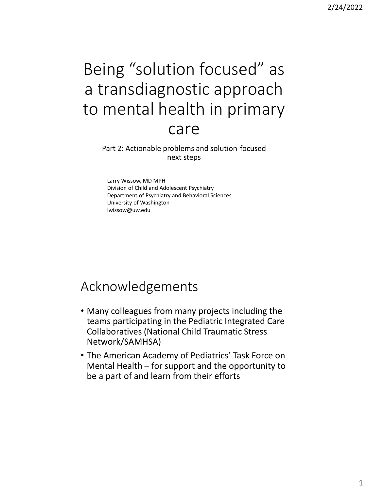# Being "solution focused" as a transdiagnostic approach to mental health in primary

#### care

 Part 2: Actionable problems and solution-focused next steps

 Division of Child and Adolescent Psychiatry Larry Wissow, MD MPH Department of Psychiatry and Behavioral Sciences University of Washington [lwissow@uw.edu](mailto:lwissow@uw.edu) 

#### Acknowledgements

- Many colleagues from many projects including the teams participating in the Pediatric Integrated Care Collaboratives (National Child Traumatic Stress Network/SAMHSA)
- Mental Health for support and the opportunity to be a part of and learn from their efforts • The American Academy of Pediatrics' Task Force on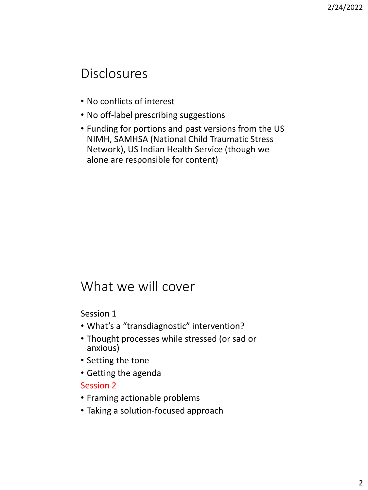# Disclosures

- No conflicts of interest
- No off-label prescribing suggestions
- NIMH, SAMHSA (National Child Traumatic Stress Network), US Indian Health Service (though we • Funding for portions and past versions from the US alone are responsible for content)

## What we will cover

Session 1

- What's a "transdiagnostic" intervention?
- • Thought processes while stressed (or sad or anxious)
- Setting the tone
- Getting the agenda

#### Session 2

- Framing actionable problems
- Taking a solution-focused approach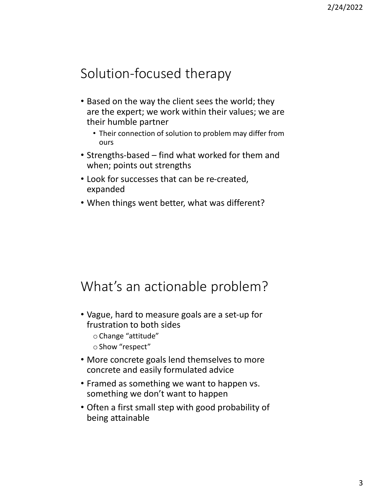# Solution-focused therapy

- Based on the way the client sees the world; they are the expert; we work within their values; we are their humble partner
	- • Their connection of solution to problem may differ from ours
- • Strengths-based find what worked for them and when; points out strengths
- • Look for successes that can be re-created, expanded
- When things went better, what was different?

#### What's an actionable problem?

- Vague, hard to measure goals are a set-up for frustration to both sides
	- oChange "attitude"
	- o Show "respect"
- • More concrete goals lend themselves to more concrete and easily formulated advice
- • Framed as something we want to happen vs. something we don't want to happen
- Often a first small step with good probability of being attainable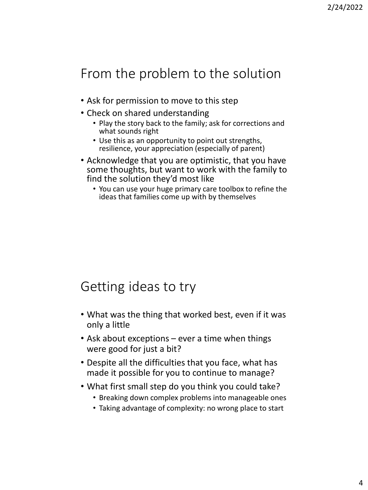# From the problem to the solution

- Ask for permission to move to this step
- Check on shared understanding
	- • Play the story back to the family; ask for corrections and what sounds right
	- resilience, your appreciation (especially of parent) • Use this as an opportunity to point out strengths,
- Acknowledge that you are optimistic, that you have some thoughts, but want to work with the family to find the solution they'd most like
	- • You can use your huge primary care toolbox to refine the ideas that families come up with by themselves

# Getting ideas to try

- • What was the thing that worked best, even if it was only a little
- Ask about exceptions ever a time when things were good for just a bit?
- made it possible for you to continue to manage? • Despite all the difficulties that you face, what has
- What first small step do you think you could take?
	- Breaking down complex problems into manageable ones
	- Taking advantage of complexity: no wrong place to start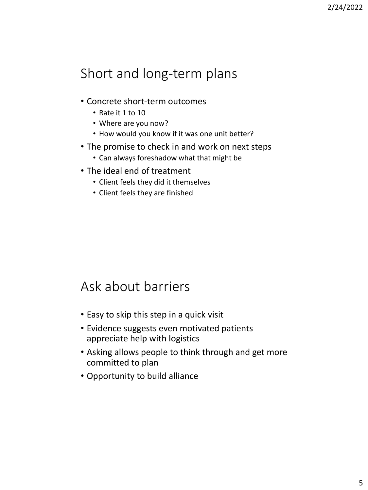# Short and long-term plans

- Concrete short-term outcomes
	- Rate it 1 to 10
	- Where are you now?
	- How would you know if it was one unit better?
- The promise to check in and work on next steps
	- Can always foreshadow what that might be
- • The ideal end of treatment
	- Client feels they did it themselves
	- Client feels they are finished

#### Ask about barriers

- Easy to skip this step in a quick visit
- • Evidence suggests even motivated patients appreciate help with logistics
- • Asking allows people to think through and get more committed to plan
- Opportunity to build alliance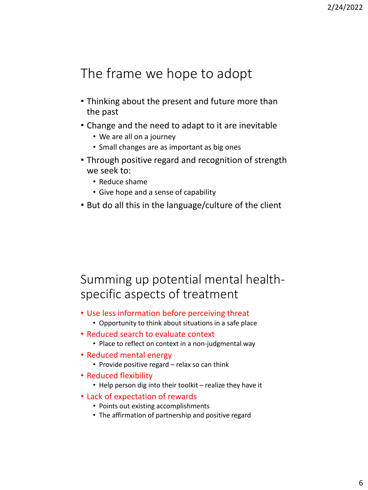# The frame we hope to adopt

- Thinking about the present and future more than the past
- • Change and the need to adapt to it are inevitable
	- We are all on a journey
	- Small changes are as important as big ones
- Through positive regard and recognition of strength we seek to:
	- Reduce shame
	- Give hope and a sense of capability
- But do all this in the language/culture of the client

#### Summing up potential mental healthspecific aspects of treatment

- Use less information before perceiving threat
	- Opportunity to think about situations in a safe place
- • Reduced search to evaluate context
	- Place to reflect on context in a non-judgmental way
- Reduced mental energy
	- Provide positive regard relax so can think
- Reduced flexibility
	- Help person dig into their toolkit realize they have it
- • Lack of expectation of rewards
	- Points out existing accomplishments
	- The affirmation of partnership and positive regard